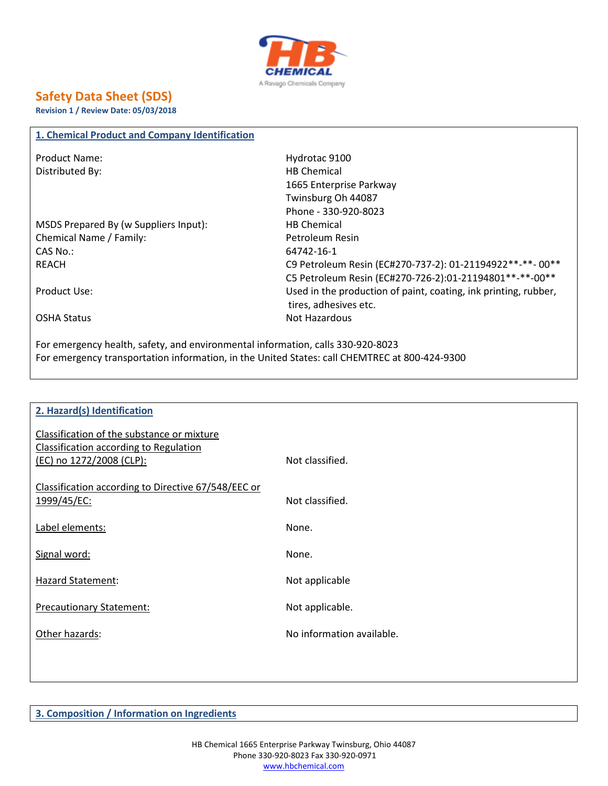

## **Safety Data Sheet (SDS)**

**Revision 1 / Review Date: 05/03/2018**

## **1. Chemical Product and Company Identification**

| <b>Product Name:</b>                  | Hydrotac 9100                                                   |
|---------------------------------------|-----------------------------------------------------------------|
| Distributed By:                       | <b>HB Chemical</b>                                              |
|                                       | 1665 Enterprise Parkway                                         |
|                                       | Twinsburg Oh 44087                                              |
|                                       | Phone - 330-920-8023                                            |
| MSDS Prepared By (w Suppliers Input): | <b>HB</b> Chemical                                              |
| Chemical Name / Family:               | Petroleum Resin                                                 |
| CAS No.:                              | 64742-16-1                                                      |
| REACH                                 | C9 Petroleum Resin (EC#270-737-2): 01-21194922**-**- 00**       |
|                                       | C5 Petroleum Resin (EC#270-726-2):01-21194801**-**-00**         |
| Product Use:                          | Used in the production of paint, coating, ink printing, rubber, |
|                                       | tires, adhesives etc.                                           |
| <b>OSHA Status</b>                    | Not Hazardous                                                   |
|                                       |                                                                 |

For emergency health, safety, and environmental information, calls 330-920-8023 For emergency transportation information, in the United States: call CHEMTREC at 800-424-9300

| 2. Hazard(s) Identification                         |                           |
|-----------------------------------------------------|---------------------------|
|                                                     |                           |
| Classification of the substance or mixture          |                           |
| Classification according to Regulation              |                           |
| (EC) no 1272/2008 (CLP):                            | Not classified.           |
|                                                     |                           |
| Classification according to Directive 67/548/EEC or |                           |
| 1999/45/EC:                                         | Not classified.           |
|                                                     |                           |
| Label elements:                                     | None.                     |
|                                                     |                           |
| Signal word:                                        | None.                     |
|                                                     |                           |
| Hazard Statement:                                   | Not applicable            |
|                                                     |                           |
| <b>Precautionary Statement:</b>                     | Not applicable.           |
|                                                     |                           |
| Other hazards:                                      | No information available. |
|                                                     |                           |
|                                                     |                           |
|                                                     |                           |

**3. Composition / Information on Ingredients**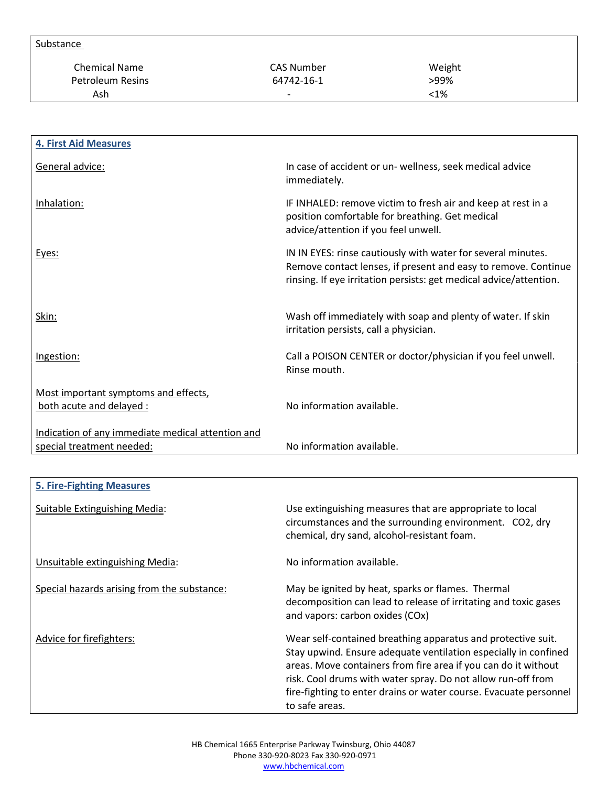| Substance               |                          |         |  |
|-------------------------|--------------------------|---------|--|
| <b>Chemical Name</b>    | CAS Number               | Weight  |  |
| <b>Petroleum Resins</b> | 64742-16-1               | >99%    |  |
| Ash                     | $\overline{\phantom{0}}$ | $< 1\%$ |  |

| <b>4. First Aid Measures</b>                                     |                                                                                                                                                                                                      |
|------------------------------------------------------------------|------------------------------------------------------------------------------------------------------------------------------------------------------------------------------------------------------|
| General advice:                                                  | In case of accident or un- wellness, seek medical advice<br>immediately.                                                                                                                             |
| Inhalation:                                                      | IF INHALED: remove victim to fresh air and keep at rest in a<br>position comfortable for breathing. Get medical<br>advice/attention if you feel unwell.                                              |
| Eyes:                                                            | IN IN EYES: rinse cautiously with water for several minutes.<br>Remove contact lenses, if present and easy to remove. Continue<br>rinsing. If eye irritation persists: get medical advice/attention. |
| Skin:                                                            | Wash off immediately with soap and plenty of water. If skin<br>irritation persists, call a physician.                                                                                                |
| Ingestion:                                                       | Call a POISON CENTER or doctor/physician if you feel unwell.<br>Rinse mouth.                                                                                                                         |
| Most important symptoms and effects,<br>both acute and delayed : | No information available.                                                                                                                                                                            |
| Indication of any immediate medical attention and                |                                                                                                                                                                                                      |
| special treatment needed:                                        | No information available.                                                                                                                                                                            |

| <b>5. Fire-Fighting Measures</b>            |                                                                                                                                                                                                                                                                                                                                                          |
|---------------------------------------------|----------------------------------------------------------------------------------------------------------------------------------------------------------------------------------------------------------------------------------------------------------------------------------------------------------------------------------------------------------|
| Suitable Extinguishing Media:               | Use extinguishing measures that are appropriate to local<br>circumstances and the surrounding environment. CO2, dry<br>chemical, dry sand, alcohol-resistant foam.                                                                                                                                                                                       |
| Unsuitable extinguishing Media:             | No information available.                                                                                                                                                                                                                                                                                                                                |
| Special hazards arising from the substance: | May be ignited by heat, sparks or flames. Thermal<br>decomposition can lead to release of irritating and toxic gases<br>and vapors: carbon oxides (COx)                                                                                                                                                                                                  |
| Advice for firefighters:                    | Wear self-contained breathing apparatus and protective suit.<br>Stay upwind. Ensure adequate ventilation especially in confined<br>areas. Move containers from fire area if you can do it without<br>risk. Cool drums with water spray. Do not allow run-off from<br>fire-fighting to enter drains or water course. Evacuate personnel<br>to safe areas. |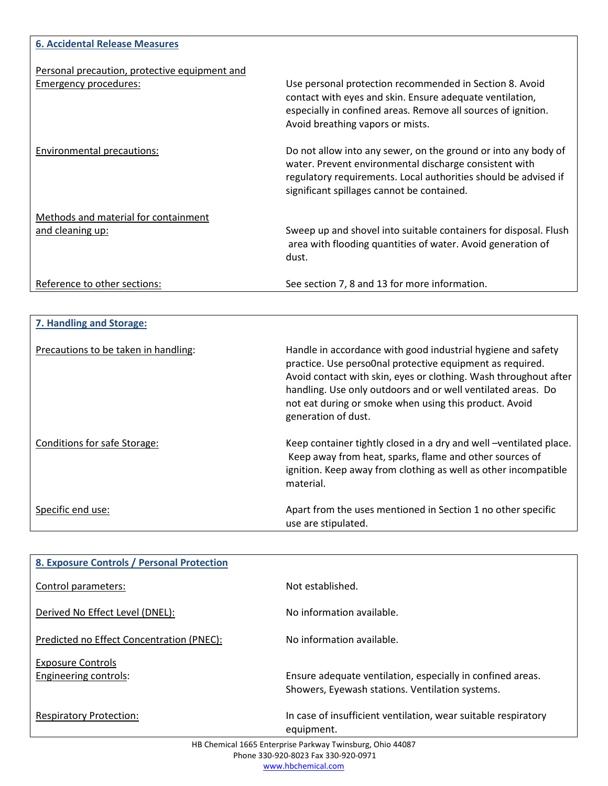| <b>6. Accidental Release Measures</b>                                         |                                                                                                                                                                                                                                           |
|-------------------------------------------------------------------------------|-------------------------------------------------------------------------------------------------------------------------------------------------------------------------------------------------------------------------------------------|
| Personal precaution, protective equipment and<br><b>Emergency procedures:</b> | Use personal protection recommended in Section 8. Avoid                                                                                                                                                                                   |
|                                                                               | contact with eyes and skin. Ensure adequate ventilation,<br>especially in confined areas. Remove all sources of ignition.<br>Avoid breathing vapors or mists.                                                                             |
| Environmental precautions:                                                    | Do not allow into any sewer, on the ground or into any body of<br>water. Prevent environmental discharge consistent with<br>regulatory requirements. Local authorities should be advised if<br>significant spillages cannot be contained. |
| Methods and material for containment                                          |                                                                                                                                                                                                                                           |
| and cleaning up:                                                              | Sweep up and shovel into suitable containers for disposal. Flush<br>area with flooding quantities of water. Avoid generation of<br>dust.                                                                                                  |
| Reference to other sections:                                                  | See section 7, 8 and 13 for more information.                                                                                                                                                                                             |

| 7. Handling and Storage:             |                                                                                                                                                                                                                                                                                                                                                |
|--------------------------------------|------------------------------------------------------------------------------------------------------------------------------------------------------------------------------------------------------------------------------------------------------------------------------------------------------------------------------------------------|
| Precautions to be taken in handling: | Handle in accordance with good industrial hygiene and safety<br>practice. Use perso0nal protective equipment as required.<br>Avoid contact with skin, eyes or clothing. Wash throughout after<br>handling. Use only outdoors and or well ventilated areas. Do<br>not eat during or smoke when using this product. Avoid<br>generation of dust. |
| Conditions for safe Storage:         | Keep container tightly closed in a dry and well -ventilated place.<br>Keep away from heat, sparks, flame and other sources of<br>ignition. Keep away from clothing as well as other incompatible<br>material.                                                                                                                                  |
| Specific end use:                    | Apart from the uses mentioned in Section 1 no other specific<br>use are stipulated.                                                                                                                                                                                                                                                            |

| 8. Exposure Controls / Personal Protection                                                       |                                                                                                               |  |
|--------------------------------------------------------------------------------------------------|---------------------------------------------------------------------------------------------------------------|--|
| Control parameters:                                                                              | Not established.                                                                                              |  |
| Derived No Effect Level (DNEL):                                                                  | No information available.                                                                                     |  |
| Predicted no Effect Concentration (PNEC):                                                        | No information available.                                                                                     |  |
| <b>Exposure Controls</b><br>Engineering controls:                                                | Ensure adequate ventilation, especially in confined areas.<br>Showers, Eyewash stations. Ventilation systems. |  |
| <b>Respiratory Protection:</b>                                                                   | In case of insufficient ventilation, wear suitable respiratory<br>equipment.                                  |  |
| HB Chemical 1665 Enterprise Parkway Twinsburg, Ohio 44087<br>Phone 330-920-8023 Fax 330-920-0971 |                                                                                                               |  |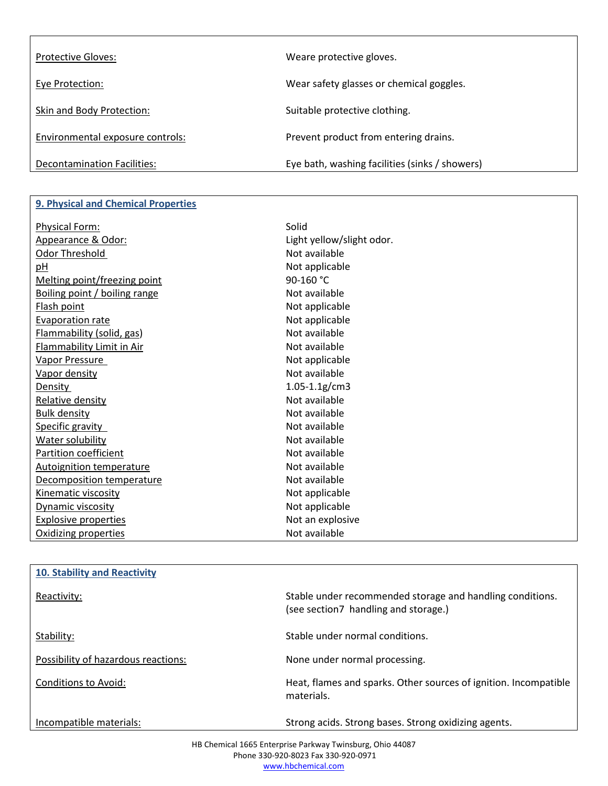| <b>Protective Gloves:</b>        | Weare protective gloves.                       |
|----------------------------------|------------------------------------------------|
| Eye Protection:                  | Wear safety glasses or chemical goggles.       |
| Skin and Body Protection:        | Suitable protective clothing.                  |
| Environmental exposure controls: | Prevent product from entering drains.          |
| Decontamination Facilities:      | Eye bath, washing facilities (sinks / showers) |

## **9. Physical and Chemical Properties**

| <b>Physical Form:</b>           | Solid                     |
|---------------------------------|---------------------------|
| Appearance & Odor:              | Light yellow/slight odor. |
| Odor Threshold                  | Not available             |
| pH                              | Not applicable            |
| Melting point/freezing point    | 90-160 °C                 |
| Boiling point / boiling range   | Not available             |
| Flash point                     | Not applicable            |
| Evaporation rate                | Not applicable            |
| Flammability (solid, gas)       | Not available             |
| Flammability Limit in Air       | Not available             |
| Vapor Pressure                  | Not applicable            |
| Vapor density                   | Not available             |
| Density                         | $1.05 - 1.1$ g/cm3        |
| Relative density                | Not available             |
| <b>Bulk density</b>             | Not available             |
| Specific gravity                | Not available             |
| Water solubility                | Not available             |
| <b>Partition coefficient</b>    | Not available             |
| <b>Autoignition temperature</b> | Not available             |
| Decomposition temperature       | Not available             |
| Kinematic viscosity             | Not applicable            |
| Dynamic viscosity               | Not applicable            |
| Explosive properties            | Not an explosive          |
| Oxidizing properties            | Not available             |

| 10. Stability and Reactivity        |                                                                                                   |
|-------------------------------------|---------------------------------------------------------------------------------------------------|
| Reactivity:                         | Stable under recommended storage and handling conditions.<br>(see section7 handling and storage.) |
| Stability:                          | Stable under normal conditions.                                                                   |
| Possibility of hazardous reactions: | None under normal processing.                                                                     |
| Conditions to Avoid:                | Heat, flames and sparks. Other sources of ignition. Incompatible<br>materials.                    |
| Incompatible materials:             | Strong acids. Strong bases. Strong oxidizing agents.                                              |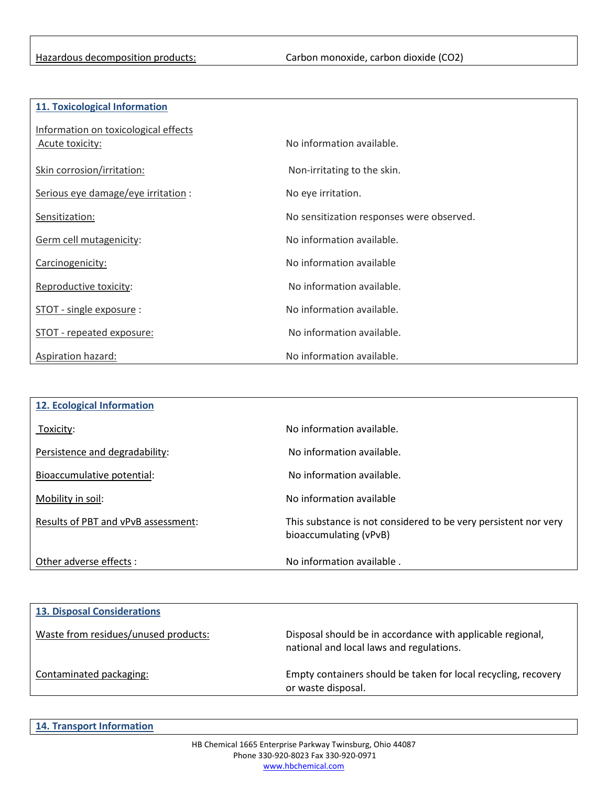| 11. Toxicological Information |  |
|-------------------------------|--|
|-------------------------------|--|

| Information on toxicological effects<br>Acute toxicity: | No information available.                 |
|---------------------------------------------------------|-------------------------------------------|
| Skin corrosion/irritation:                              | Non-irritating to the skin.               |
| Serious eye damage/eye irritation :                     | No eye irritation.                        |
| Sensitization:                                          | No sensitization responses were observed. |
| Germ cell mutagenicity:                                 | No information available.                 |
| Carcinogenicity:                                        | No information available                  |
| Reproductive toxicity:                                  | No information available.                 |
| STOT - single exposure:                                 | No information available.                 |
| STOT - repeated exposure:                               | No information available.                 |
| Aspiration hazard:                                      | No information available.                 |

| 12. Ecological Information          |                                                                                           |
|-------------------------------------|-------------------------------------------------------------------------------------------|
| Toxicity:                           | No information available.                                                                 |
| Persistence and degradability:      | No information available.                                                                 |
| Bioaccumulative potential:          | No information available.                                                                 |
| Mobility in soil:                   | No information available                                                                  |
| Results of PBT and vPvB assessment: | This substance is not considered to be very persistent nor very<br>bioaccumulating (vPvB) |
| Other adverse effects:              | No information available.                                                                 |

| <b>13. Disposal Considerations</b>   |                                                                                                        |
|--------------------------------------|--------------------------------------------------------------------------------------------------------|
| Waste from residues/unused products: | Disposal should be in accordance with applicable regional,<br>national and local laws and regulations. |
| Contaminated packaging:              | Empty containers should be taken for local recycling, recovery<br>or waste disposal.                   |

**14. Transport Information**